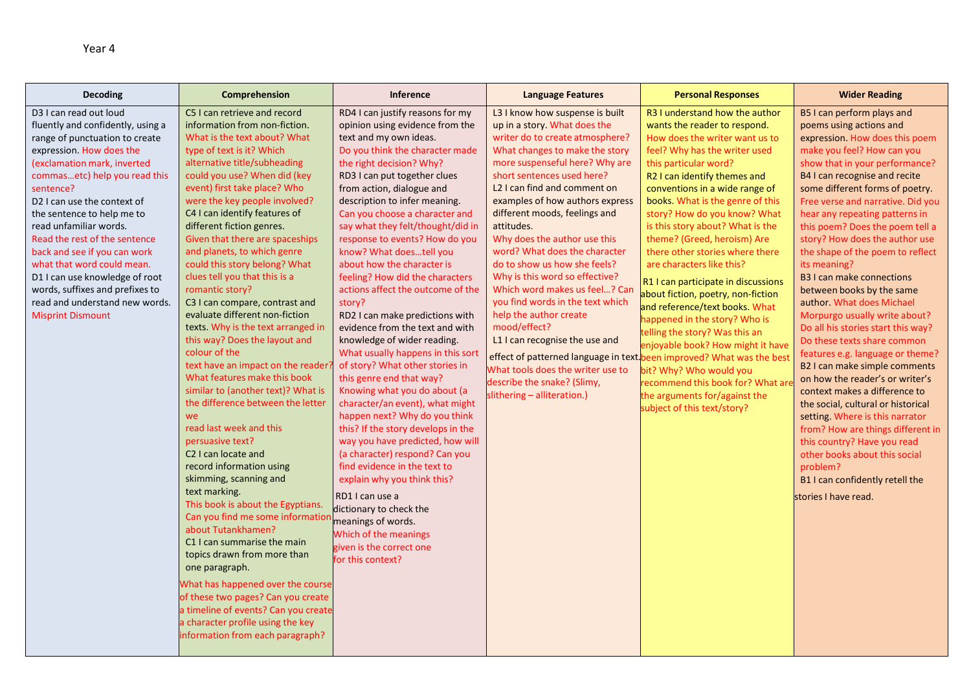| Decoding                                                                                                                                                                                                                                                                                                                                                                                                                                                                                                                        | Comprehension                                                                                                                                                                                                                                                                                                                                                                                                                                                                                                                                                                                                                                                                                                                                                                                                                                                                                                                                                                                                                                                                                                                                                                                                                                                                                                                          | <b>Inference</b>                                                                                                                                                                                                                                                                                                                                                                                                                                                                                                                                                                                                                                                                                                                                                                                                                                                                                                                                                                                                                                                                                                                                     | <b>Language Features</b>                                                                                                                                                                                                                                                                                                                                                                                                                                                                                                                                                                                                                                                                                                                                                                           | <b>Personal Responses</b>                                                                                                                                                                                                                                                                                                                                                                                                                                                                                                                                                                                                                                                                                                                                                                 | <b>Wider Reading</b>                                                                                                                                                                                                                                                                                                                                                                                                                                                                                                                                                                                                                                                                                                                                                                                                                                                                                                                                                                                                          |
|---------------------------------------------------------------------------------------------------------------------------------------------------------------------------------------------------------------------------------------------------------------------------------------------------------------------------------------------------------------------------------------------------------------------------------------------------------------------------------------------------------------------------------|----------------------------------------------------------------------------------------------------------------------------------------------------------------------------------------------------------------------------------------------------------------------------------------------------------------------------------------------------------------------------------------------------------------------------------------------------------------------------------------------------------------------------------------------------------------------------------------------------------------------------------------------------------------------------------------------------------------------------------------------------------------------------------------------------------------------------------------------------------------------------------------------------------------------------------------------------------------------------------------------------------------------------------------------------------------------------------------------------------------------------------------------------------------------------------------------------------------------------------------------------------------------------------------------------------------------------------------|------------------------------------------------------------------------------------------------------------------------------------------------------------------------------------------------------------------------------------------------------------------------------------------------------------------------------------------------------------------------------------------------------------------------------------------------------------------------------------------------------------------------------------------------------------------------------------------------------------------------------------------------------------------------------------------------------------------------------------------------------------------------------------------------------------------------------------------------------------------------------------------------------------------------------------------------------------------------------------------------------------------------------------------------------------------------------------------------------------------------------------------------------|----------------------------------------------------------------------------------------------------------------------------------------------------------------------------------------------------------------------------------------------------------------------------------------------------------------------------------------------------------------------------------------------------------------------------------------------------------------------------------------------------------------------------------------------------------------------------------------------------------------------------------------------------------------------------------------------------------------------------------------------------------------------------------------------------|-------------------------------------------------------------------------------------------------------------------------------------------------------------------------------------------------------------------------------------------------------------------------------------------------------------------------------------------------------------------------------------------------------------------------------------------------------------------------------------------------------------------------------------------------------------------------------------------------------------------------------------------------------------------------------------------------------------------------------------------------------------------------------------------|-------------------------------------------------------------------------------------------------------------------------------------------------------------------------------------------------------------------------------------------------------------------------------------------------------------------------------------------------------------------------------------------------------------------------------------------------------------------------------------------------------------------------------------------------------------------------------------------------------------------------------------------------------------------------------------------------------------------------------------------------------------------------------------------------------------------------------------------------------------------------------------------------------------------------------------------------------------------------------------------------------------------------------|
| D3 I can read out loud<br>fluently and confidently, using a<br>range of punctuation to create<br>expression. How does the<br>(exclamation mark, inverted<br>commasetc) help you read this<br>sentence?<br>D2 I can use the context of<br>the sentence to help me to<br>read unfamiliar words.<br>Read the rest of the sentence<br>back and see if you can work<br>what that word could mean.<br>D1 I can use knowledge of root<br>words, suffixes and prefixes to<br>read and understand new words.<br><b>Misprint Dismount</b> | C5 I can retrieve and record<br>information from non-fiction.<br>What is the text about? What<br>type of text is it? Which<br>alternative title/subheading<br>could you use? When did (key<br>event) first take place? Who<br>were the key people involved?<br>C4 I can identify features of<br>different fiction genres.<br>Given that there are spaceships<br>and planets, to which genre<br>could this story belong? What<br>clues tell you that this is a<br>romantic story?<br>C3 I can compare, contrast and<br>evaluate different non-fiction<br>texts. Why is the text arranged in<br>this way? Does the layout and<br>colour of the<br>text have an impact on the reader?<br>What features make this book<br>similar to (another text)? What is<br>the difference between the letter<br>we<br>read last week and this<br>persuasive text?<br>C <sub>2</sub> I can locate and<br>record information using<br>skimming, scanning and<br>text marking.<br>This book is about the Egyptians.<br>Can you find me some informatio<br>about Tutankhamen?<br>C1 I can summarise the main<br>topics drawn from more than<br>one paragraph.<br>What has happened over the course<br>of these two pages? Can you create<br>a timeline of events? Can you create<br>a character profile using the key<br>information from each paragraph? | RD4 I can justify reasons for my<br>opinion using evidence from the<br>text and my own ideas.<br>Do you think the character made<br>the right decision? Why?<br>RD3 I can put together clues<br>from action, dialogue and<br>description to infer meaning.<br>Can you choose a character and<br>say what they felt/thought/did in<br>response to events? How do you<br>know? What doestell you<br>about how the character is<br>feeling? How did the characters<br>actions affect the outcome of the<br>story?<br>RD2 I can make predictions with<br>evidence from the text and with<br>knowledge of wider reading.<br>What usually happens in this sort<br>of story? What other stories in<br>this genre end that way?<br>Knowing what you do about (a<br>character/an event), what might<br>happen next? Why do you think<br>this? If the story develops in the<br>way you have predicted, how will<br>(a character) respond? Can you<br>find evidence in the text to<br>explain why you think this?<br>RD1 I can use a<br>dictionary to check the<br>meanings of words.<br>Which of the meanings<br>given is the correct one<br>for this context? | L3 I know how suspense is built<br>up in a story. What does the<br>writer do to create atmosphere?<br>What changes to make the story<br>more suspenseful here? Why are<br>short sentences used here?<br>L <sub>2</sub> I can find and comment on<br>examples of how authors express<br>different moods, feelings and<br>attitudes.<br>Why does the author use this<br>word? What does the character<br>do to show us how she feels?<br>Why is this word so effective?<br>Which word makes us feel? Can<br>you find words in the text which<br>help the author create<br>mood/effect?<br>L1 I can recognise the use and<br>effect of patterned language in text been improved? What was the best<br>What tools does the writer use to<br>describe the snake? (Slimy,<br>slithering - alliteration.) | R3 I understand how the author<br>wants the reader to respond.<br>How does the writer want us to<br>feel? Why has the writer used<br>this particular word?<br>R2 I can identify themes and<br>conventions in a wide range of<br>books. What is the genre of this<br>story? How do you know? What<br>is this story about? What is the<br>theme? (Greed, heroism) Are<br>there other stories where there<br>are characters like this?<br>R1 I can participate in discussions<br>about fiction, poetry, non-fiction<br>and reference/text books. What<br>happened in the story? Who is<br>telling the story? Was this an<br>enjoyable book? How might it have<br>bit? Why? Who would you<br>recommend this book for? What ar<br>the arguments for/against the<br>subject of this text/story? | B5 I can perform plays and<br>poems using actions and<br>expression. How does this poem<br>make you feel? How can you<br>show that in your performance?<br>B4 I can recognise and recite<br>some different forms of poetry.<br>Free verse and narrative. Did you<br>hear any repeating patterns in<br>this poem? Does the poem tell a<br>story? How does the author use<br>the shape of the poem to reflect<br>its meaning?<br><b>B3 I can make connections</b><br>between books by the same<br>author. What does Michael<br>Morpurgo usually write about?<br>Do all his stories start this way?<br>Do these texts share common<br>features e.g. language or theme?<br>B2 I can make simple comments<br>on how the reader's or writer's<br>context makes a difference to<br>the social, cultural or historical<br>setting. Where is this narrator<br>from? How are things different in<br>this country? Have you read<br>other books about this social<br>problem?<br>B1 I can confidently retell the<br>stories I have read. |